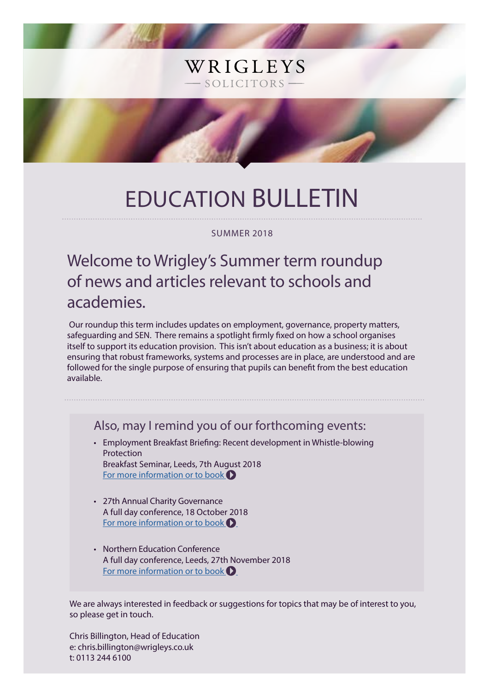# EDUCATION BULLETIN

WRIGLEYS

SOLICITORS-

### SUMMER 2018

## Welcome to Wrigley's Summer term roundup of news and articles relevant to schools and academies.

 Our roundup this term includes updates on employment, governance, property matters, safeguarding and SEN. There remains a spotlight firmly fixed on how a school organises itself to support its education provision. This isn't about education as a business; it is about ensuring that robust frameworks, systems and processes are in place, are understood and are followed for the single purpose of ensuring that pupils can benefit from the best education available.

Also, may I remind you of our forthcoming events:

- Employment Breakfast Briefing: Recent development in Whistle-blowing Protection Breakfast Seminar, Leeds, 7th August 2018 [For more information or to book](https://www.wrigleys.co.uk/events/detail/employment-breakfast-briefing---7-august-2018/)  $\bullet$
- 27th Annual Charity Governance A full day conference, 18 October 2018 [For more information or to book](https://www.wrigleys.co.uk/events/detail/27th-annual-charity-governance-seminar-/)  $\bigcirc$
- Northern Education Conference A full day conference, Leeds, 27th November 2018 [For more information or to book](https://www.wrigleys.co.uk/events/detail/northern-education-conference---27th-november-2018/)  $\bigcirc$

We are always interested in feedback or suggestions for topics that may be of interest to you, so please get in touch.

Chris Billington, Head of Education e: chris.billington@wrigleys.co.uk t: 0113 244 6100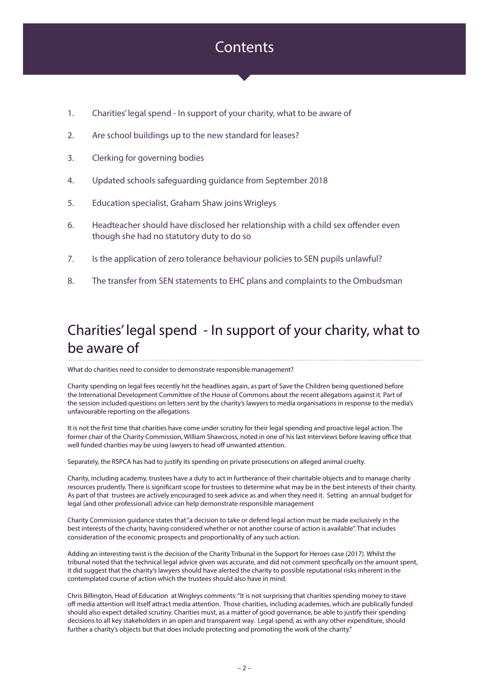### **Contents**

- 1. Charities' legal spend In support of your charity, what to be aware of
- 2. Are school buildings up to the new standard for leases?
- 3. Clerking for governing bodies
- 4. Updated schools safeguarding guidance from September 2018
- 5. Education specialist, Graham Shaw joins Wrigleys
- 6. Headteacher should have disclosed her relationship with a child sex offender even though she had no statutory duty to do so
- 7. Is the application of zero tolerance behaviour policies to SEN pupils unlawful?
- 8. The transfer from SEN statements to EHC plans and complaints to the Ombudsman

## Charities' legal spend - In support of your charity, what to be aware of

What do charities need to consider to demonstrate responsible management?

Charity spending on legal fees recently hit the headlines again, as part of Save the Children being questioned before the International Development Committee of the House of Commons about the recent allegations against it. Part of the session included questions on letters sent by the charity's lawyers to media organisations in response to the media's unfavourable reporting on the allegations.

It is not the first time that charities have come under scrutiny for their legal spending and proactive legal action. The former chair of the Charity Commission, William Shawcross, noted in one of his last interviews before leaving office that well funded charities may be using lawyers to head off unwanted attention.

Separately, the RSPCA has had to justify its spending on private prosecutions on alleged animal cruelty.

Charity, including academy, trustees have a duty to act in furtherance of their charitable objects and to manage charity resources prudently. There is significant scope for trustees to determine what may be in the best interests of their charity. As part of that trustees are actively encouraged to seek advice as and when they need it. Setting an annual budget for legal (and other professional) advice can help demonstrate responsible management

Charity Commission guidance states that "a decision to take or defend legal action must be made exclusively in the best interests of the charity, having considered whether or not another course of action is available". That includes consideration of the economic prospects and proportionality of any such action.

Adding an interesting twist is the decision of the Charity Tribunal in the Support for Heroes case (2017). Whilst the tribunal noted that the technical legal advice given was accurate, and did not comment specifically on the amount spent, it did suggest that the charity's lawyers should have alerted the charity to possible reputational risks inherent in the contemplated course of action which the trustees should also have in mind.

Chris Billington, Head of Education at Wrigleys comments: "It is not surprising that charities spending money to stave off media attention will itself attract media attention. Those charities, including academies, which are publically funded should also expect detailed scrutiny. Charities must, as a matter of good governance, be able to justify their spending decisions to all key stakeholders in an open and transparent way. Legal spend, as with any other expenditure, should further a charity's objects but that does include protecting and promoting the work of the charity."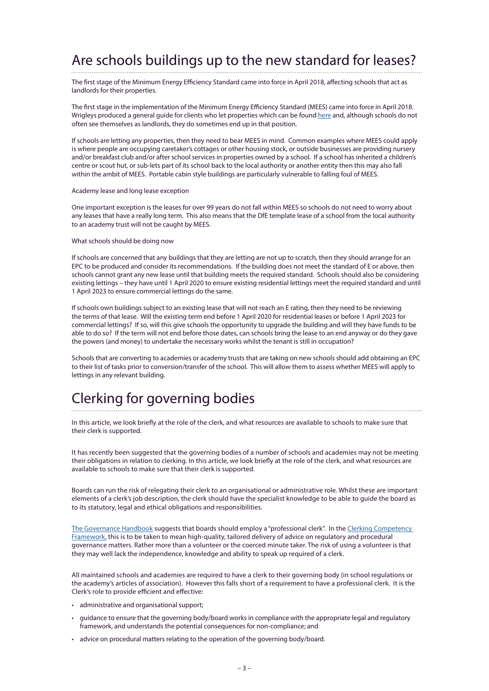## Are schools buildings up to the new standard for leases?

The first stage of the Minimum Energy Efficiency Standard came into force in April 2018, affecting schools that act as landlords for their properties.

The first stage in the implementation of the Minimum Energy Efficiency Standard (MEES) came into force in April 2018. Wrigleys produced a general guide for clients who let properties which can be found [here](https://www.wrigleys.co.uk/news/property/the-minimum-energy-efficiency-standard-what-is-it-and-how-will-it-affect-you/) and, although schools do not often see themselves as landlords, they do sometimes end up in that position.

If schools are letting any properties, then they need to bear MEES in mind. Common examples where MEES could apply is where people are occupying caretaker's cottages or other housing stock, or outside businesses are providing nursery and/or breakfast club and/or after school services in properties owned by a school. If a school has inherited a children's centre or scout hut, or sub-lets part of its school back to the local authority or another entity then this may also fall within the ambit of MEES. Portable cabin style buildings are particularly vulnerable to falling foul of MEES.

### Academy lease and long lease exception

One important exception is the leases for over 99 years do not fall within MEES so schools do not need to worry about any leases that have a really long term. This also means that the DfE template lease of a school from the local authority to an academy trust will not be caught by MEES.

#### What schools should be doing now

If schools are concerned that any buildings that they are letting are not up to scratch, then they should arrange for an EPC to be produced and consider its recommendations. If the building does not meet the standard of E or above, then schools cannot grant any new lease until that building meets the required standard. Schools should also be considering existing lettings – they have until 1 April 2020 to ensure existing residential lettings meet the required standard and until 1 April 2023 to ensure commercial lettings do the same.

If schools own buildings subject to an existing lease that will not reach an E rating, then they need to be reviewing the terms of that lease. Will the existing term end before 1 April 2020 for residential leases or before 1 April 2023 for commercial lettings? If so, will this give schools the opportunity to upgrade the building and will they have funds to be able to do so? If the term will not end before those dates, can schools bring the lease to an end anyway or do they gave the powers (and money) to undertake the necessary works whilst the tenant is still in occupation?

Schools that are converting to academies or academy trusts that are taking on new schools should add obtaining an EPC to their list of tasks prior to conversion/transfer of the school. This will allow them to assess whether MEES will apply to lettings in any relevant building.

### Clerking for governing bodies

In this article, we look briefly at the role of the clerk, and what resources are available to schools to make sure that their clerk is supported.

It has recently been suggested that the governing bodies of a number of schools and academies may not be meeting their obligations in relation to clerking. In this article, we look briefly at the role of the clerk, and what resources are available to schools to make sure that their clerk is supported.

Boards can run the risk of relegating their clerk to an organisational or administrative role. Whilst these are important elements of a clerk's job description, the clerk should have the specialist knowledge to be able to guide the board as to its statutory, legal and ethical obligations and responsibilities.

[The Governance Handbook](https://assets.publishing.service.gov.uk/government/uploads/system/uploads/attachment_data/file/582868/Governance_Handbook_-_January_2017.pdf) suggests that boards should employ a "professional clerk". In the Clerking Competency [Framework,](https://assets.publishing.service.gov.uk/government/uploads/system/uploads/attachment_data/file/609971/Clerking_competency_framework.pdf) this is to be taken to mean high-quality, tailored delivery of advice on regulatory and procedural governance matters. Rather more than a volunteer or the coerced minute taker. The risk of using a volunteer is that they may well lack the independence, knowledge and ability to speak up required of a clerk.

All maintained schools and academies are required to have a clerk to their governing body (in school regulations or the academy's articles of association). However this falls short of a requirement to have a professional clerk. It is the Clerk's role to provide efficient and effective:

- administrative and organisational support;
- guidance to ensure that the governing body/board works in compliance with the appropriate legal and regulatory framework, and understands the potential consequences for non-compliance; and
- advice on procedural matters relating to the operation of the governing body/board.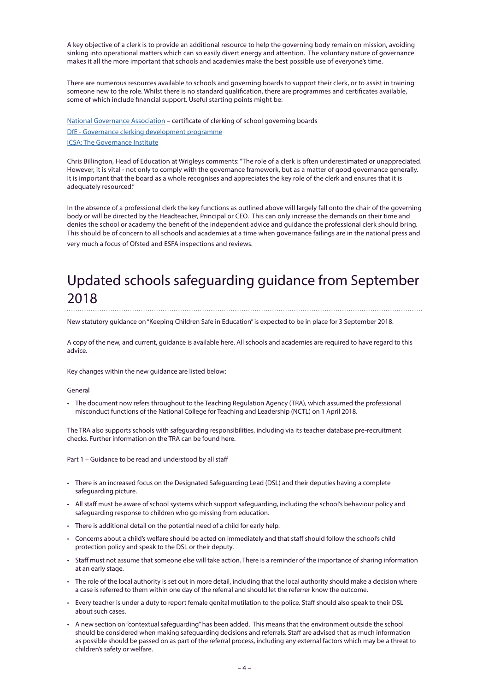A key objective of a clerk is to provide an additional resource to help the governing body remain on mission, avoiding sinking into operational matters which can so easily divert energy and attention. The voluntary nature of governance makes it all the more important that schools and academies make the best possible use of everyone's time.

There are numerous resources available to schools and governing boards to support their clerk, or to assist in training someone new to the role. Whilst there is no standard qualification, there are programmes and certificates available, some of which include financial support. Useful starting points might be:

[National Governance Association](https://www.nga.org.uk/LeadingGovernance/Clerks.aspx) – certificate of clerking of school governing boards [DfE - Governance clerking development programme](https://www.gov.uk/guidance/school-governors-professional-development#governance-clerking-development-programme) [ICSA: The Governance Institute](https://www.icsa.org.uk/)

Chris Billington, Head of Education at Wrigleys comments: "The role of a clerk is often underestimated or unappreciated. However, it is vital - not only to comply with the governance framework, but as a matter of good governance generally. It is important that the board as a whole recognises and appreciates the key role of the clerk and ensures that it is adequately resourced."

In the absence of a professional clerk the key functions as outlined above will largely fall onto the chair of the governing body or will be directed by the Headteacher, Principal or CEO. This can only increase the demands on their time and denies the school or academy the benefit of the independent advice and guidance the professional clerk should bring. This should be of concern to all schools and academies at a time when governance failings are in the national press and very much a focus of Ofsted and ESFA inspections and reviews.

### Updated schools safeguarding guidance from September 2018

New statutory guidance on "Keeping Children Safe in Education" is expected to be in place for 3 September 2018.

A copy of the new, and current, guidance is available here. All schools and academies are required to have regard to this advice.

Key changes within the new guidance are listed below:

### General

• The document now refers throughout to the Teaching Regulation Agency (TRA), which assumed the professional misconduct functions of the National College for Teaching and Leadership (NCTL) on 1 April 2018.

The TRA also supports schools with safeguarding responsibilities, including via its teacher database pre-recruitment checks. Further information on the TRA can be found here.

Part 1 – Guidance to be read and understood by all staff

- There is an increased focus on the Designated Safeguarding Lead (DSL) and their deputies having a complete safeguarding picture.
- All staff must be aware of school systems which support safeguarding, including the school's behaviour policy and safeguarding response to children who go missing from education.
- There is additional detail on the potential need of a child for early help.
- Concerns about a child's welfare should be acted on immediately and that staff should follow the school's child protection policy and speak to the DSL or their deputy.
- Staff must not assume that someone else will take action. There is a reminder of the importance of sharing information at an early stage.
- The role of the local authority is set out in more detail, including that the local authority should make a decision where a case is referred to them within one day of the referral and should let the referrer know the outcome.
- Every teacher is under a duty to report female genital mutilation to the police. Staff should also speak to their DSL about such cases.
- A new section on "contextual safeguarding" has been added. This means that the environment outside the school should be considered when making safeguarding decisions and referrals. Staff are advised that as much information as possible should be passed on as part of the referral process, including any external factors which may be a threat to children's safety or welfare.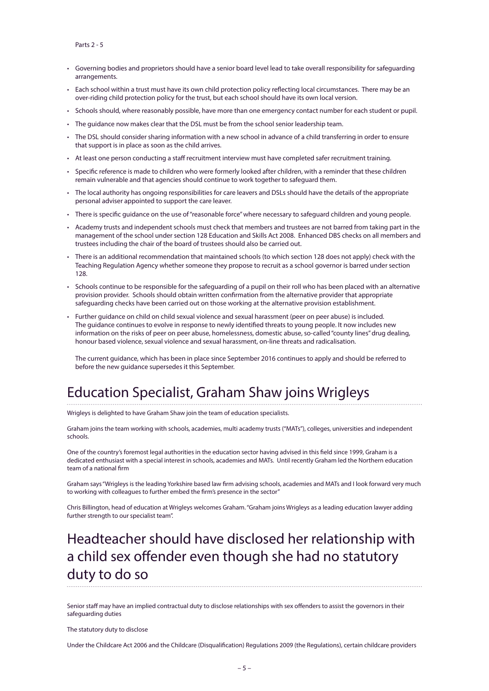Parts 2 - 5

- Governing bodies and proprietors should have a senior board level lead to take overall responsibility for safeguarding arrangements.
- Each school within a trust must have its own child protection policy reflecting local circumstances. There may be an over-riding child protection policy for the trust, but each school should have its own local version.
- Schools should, where reasonably possible, have more than one emergency contact number for each student or pupil.
- The guidance now makes clear that the DSL must be from the school senior leadership team.
- The DSL should consider sharing information with a new school in advance of a child transferring in order to ensure that support is in place as soon as the child arrives.
- At least one person conducting a staff recruitment interview must have completed safer recruitment training.
- Specific reference is made to children who were formerly looked after children, with a reminder that these children remain vulnerable and that agencies should continue to work together to safeguard them.
- The local authority has ongoing responsibilities for care leavers and DSLs should have the details of the appropriate personal adviser appointed to support the care leaver.
- There is specific guidance on the use of "reasonable force" where necessary to safeguard children and young people.
- Academy trusts and independent schools must check that members and trustees are not barred from taking part in the management of the school under section 128 Education and Skills Act 2008. Enhanced DBS checks on all members and trustees including the chair of the board of trustees should also be carried out.
- There is an additional recommendation that maintained schools (to which section 128 does not apply) check with the Teaching Regulation Agency whether someone they propose to recruit as a school governor is barred under section 128.
- Schools continue to be responsible for the safeguarding of a pupil on their roll who has been placed with an alternative provision provider. Schools should obtain written confirmation from the alternative provider that appropriate safeguarding checks have been carried out on those working at the alternative provision establishment.
- Further guidance on child on child sexual violence and sexual harassment (peer on peer abuse) is included. The guidance continues to evolve in response to newly identified threats to young people. It now includes new information on the risks of peer on peer abuse, homelessness, domestic abuse, so-called "county lines" drug dealing, honour based violence, sexual violence and sexual harassment, on-line threats and radicalisation.

The current guidance, which has been in place since September 2016 continues to apply and should be referred to before the new guidance supersedes it this September.

### Education Specialist, Graham Shaw joins Wrigleys

Wrigleys is delighted to have Graham Shaw join the team of education specialists.

Graham joins the team working with schools, academies, multi academy trusts ("MATs"), colleges, universities and independent schools.

One of the country's foremost legal authorities in the education sector having advised in this field since 1999, Graham is a dedicated enthusiast with a special interest in schools, academies and MATs. Until recently Graham led the Northern education team of a national firm

Graham says "Wrigleys is the leading Yorkshire based law firm advising schools, academies and MATs and I look forward very much to working with colleagues to further embed the firm's presence in the sector"

Chris Billington, head of education at Wrigleys welcomes Graham. "Graham joins Wrigleys as a leading education lawyer adding further strength to our specialist team".

### Headteacher should have disclosed her relationship with a child sex offender even though she had no statutory duty to do so

Senior staff may have an implied contractual duty to disclose relationships with sex offenders to assist the governors in their safeguarding duties

[The statutory duty to disclose](https://www.gov.uk/government/publications/disqualification-under-the-childcare-act-2006)

Under the Childcare Act 2006 and the Childcare (Disqualification) Regulations 2009 (the Regulations), certain childcare providers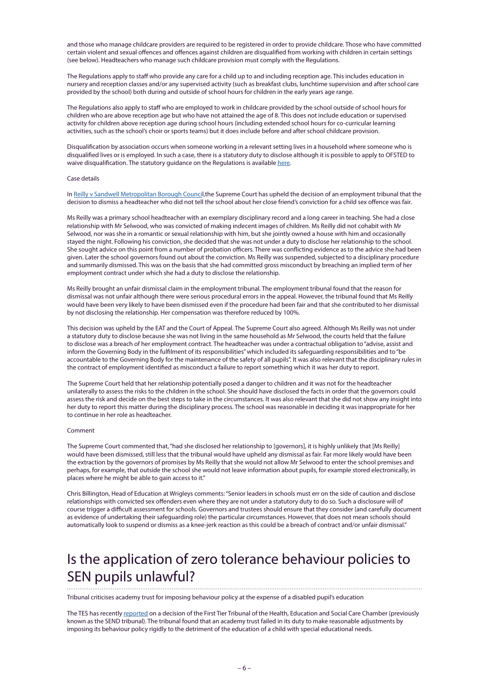and those who manage childcare providers are required to be registered in order to provide childcare. Those who have committed certain violent and sexual offences and offences against children are disqualified from working with children in certain settings (see below). Headteachers who manage such childcare provision must comply with the Regulations.

The Regulations apply to staff who provide any care for a child up to and including reception age. This includes education in nursery and reception classes and/or any supervised activity (such as breakfast clubs, lunchtime supervision and after school care provided by the school) both during and outside of school hours for children in the early years age range.

The Regulations also apply to staff who are employed to work in childcare provided by the school outside of school hours for children who are above reception age but who have not attained the age of 8. This does not include education or supervised activity for children above reception age during school hours (including extended school hours for co-curricular learning activities, such as the school's choir or sports teams) but it does include before and after school childcare provision.

Disqualification by association occurs when someone working in a relevant setting lives in a household where someone who is disqualified lives or is employed. In such a case, there is a statutory duty to disclose although it is possible to apply to OFSTED to waive disqualification. The statutory guidance on the Regulations is available [here.](https://www.gov.uk/government/publications/disqualification-under-the-childcare-act-2006)

#### Case details

In [Reilly v Sandwell Metropolitan Borough Counci](http://www.bailii.org/uk/cases/UKSC/2018/16.html)l,the Supreme Court has upheld the decision of an employment tribunal that the decision to dismiss a headteacher who did not tell the school about her close friend's conviction for a child sex offence was fair.

Ms Reilly was a primary school headteacher with an exemplary disciplinary record and a long career in teaching. She had a close relationship with Mr Selwood, who was convicted of making indecent images of children. Ms Reilly did not cohabit with Mr Selwood, nor was she in a romantic or sexual relationship with him, but she jointly owned a house with him and occasionally stayed the night. Following his conviction, she decided that she was not under a duty to disclose her relationship to the school. She sought advice on this point from a number of probation officers. There was conflicting evidence as to the advice she had been given. Later the school governors found out about the conviction. Ms Reilly was suspended, subjected to a disciplinary procedure and summarily dismissed. This was on the basis that she had committed gross misconduct by breaching an implied term of her employment contract under which she had a duty to disclose the relationship.

Ms Reilly brought an unfair dismissal claim in the employment tribunal. The employment tribunal found that the reason for dismissal was not unfair although there were serious procedural errors in the appeal. However, the tribunal found that Ms Reilly would have been very likely to have been dismissed even if the procedure had been fair and that she contributed to her dismissal by not disclosing the relationship. Her compensation was therefore reduced by 100%.

This decision was upheld by the EAT and the Court of Appeal. The Supreme Court also agreed. Although Ms Reilly was not under a statutory duty to disclose because she was not living in the same household as Mr Selwood, the courts held that the failure to disclose was a breach of her employment contract. The headteacher was under a contractual obligation to "advise, assist and inform the Governing Body in the fulfilment of its responsibilities" which included its safeguarding responsibilities and to "be accountable to the Governing Body for the maintenance of the safety of all pupils". It was also relevant that the disciplinary rules in the contract of employment identified as misconduct a failure to report something which it was her duty to report.

The Supreme Court held that her relationship potentially posed a danger to children and it was not for the headteacher unilaterally to assess the risks to the children in the school. She should have disclosed the facts in order that the governors could assess the risk and decide on the best steps to take in the circumstances. It was also relevant that she did not show any insight into her duty to report this matter during the disciplinary process. The school was reasonable in deciding it was inappropriate for her to continue in her role as headteacher.

#### Comment

The Supreme Court commented that, "had she disclosed her relationship to [governors], it is highly unlikely that [Ms Reilly] would have been dismissed, still less that the tribunal would have upheld any dismissal as fair. Far more likely would have been the extraction by the governors of promises by Ms Reilly that she would not allow Mr Selwood to enter the school premises and perhaps, for example, that outside the school she would not leave information about pupils, for example stored electronically, in places where he might be able to gain access to it."

Chris Billington, Head of Education at Wrigleys comments: "Senior leaders in schools must err on the side of caution and disclose relationships with convicted sex offenders even where they are not under a statutory duty to do so. Such a disclosure will of course trigger a difficult assessment for schools. Governors and trustees should ensure that they consider (and carefully document as evidence of undertaking their safeguarding role) the particular circumstances. However, that does not mean schools should automatically look to suspend or dismiss as a knee-jerk reaction as this could be a breach of contract and/or unfair dismissal."

## Is the application of zero tolerance behaviour policies to SEN pupils unlawful?

Tribunal criticises academy trust for imposing behaviour policy at the expense of a disabled pupil's education

The TES has recently [reported](https://www.tes.com/news/academy-put-zero-tolerance-policy-above-pupils-education-tribunal-finds) on a decision of the First Tier Tribunal of the Health, Education and Social Care Chamber (previously known as the SEND tribunal). The tribunal found that an academy trust failed in its duty to make reasonable adjustments by imposing its behaviour policy rigidly to the detriment of the education of a child with special educational needs.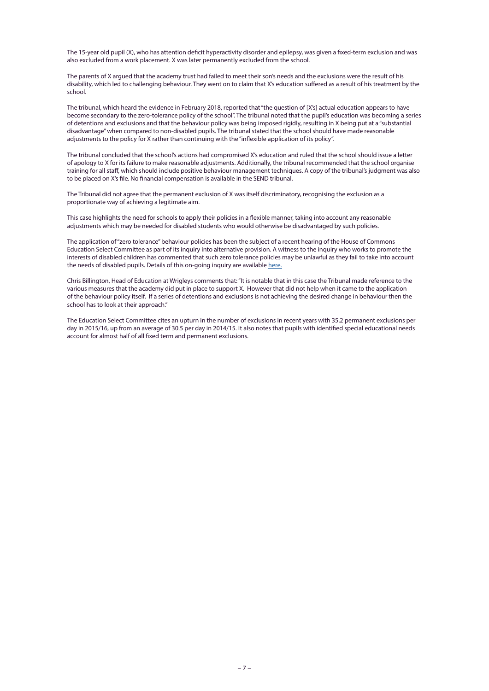The 15-year old pupil (X), who has attention deficit hyperactivity disorder and epilepsy, was given a fixed-term exclusion and was also excluded from a work placement. X was later permanently excluded from the school.

The parents of X argued that the academy trust had failed to meet their son's needs and the exclusions were the result of his disability, which led to challenging behaviour. They went on to claim that X's education suffered as a result of his treatment by the school.

The tribunal, which heard the evidence in February 2018, reported that "the question of [X's] actual education appears to have become secondary to the zero-tolerance policy of the school". The tribunal noted that the pupil's education was becoming a series of detentions and exclusions and that the behaviour policy was being imposed rigidly, resulting in X being put at a "substantial disadvantage" when compared to non-disabled pupils. The tribunal stated that the school should have made reasonable adjustments to the policy for X rather than continuing with the "inflexible application of its policy".

The tribunal concluded that the school's actions had compromised X's education and ruled that the school should issue a letter of apology to X for its failure to make reasonable adjustments. Additionally, the tribunal recommended that the school organise training for all staff, which should include positive behaviour management techniques. A copy of the tribunal's judgment was also to be placed on X's file. No financial compensation is available in the SEND tribunal.

The Tribunal did not agree that the permanent exclusion of X was itself discriminatory, recognising the exclusion as a proportionate way of achieving a legitimate aim.

This case highlights the need for schools to apply their policies in a flexible manner, taking into account any reasonable adjustments which may be needed for disabled students who would otherwise be disadvantaged by such policies.

The application of "zero tolerance" behaviour policies has been the subject of a recent hearing of the House of Commons Education Select Committee as part of its inquiry into alternative provision. A witness to the inquiry who works to promote the interests of disabled children has commented that such zero tolerance policies may be unlawful as they fail to take into account the needs of disabled pupils. Details of this on-going inquiry are available [here.](https://www.parliament.uk/business/committees/committees-a-z/commons-select/education-committee/inquiries/parliament-2017/inquiry/)

Chris Billington, Head of Education at Wrigleys comments that: "It is notable that in this case the Tribunal made reference to the various measures that the academy did put in place to support X. However that did not help when it came to the application of the behaviour policy itself. If a series of detentions and exclusions is not achieving the desired change in behaviour then the school has to look at their approach."

The Education Select Committee cites an upturn in the number of exclusions in recent years with 35.2 permanent exclusions per day in 2015/16, up from an average of 30.5 per day in 2014/15. It also notes that pupils with identified special educational needs account for almost half of all fixed term and permanent exclusions.